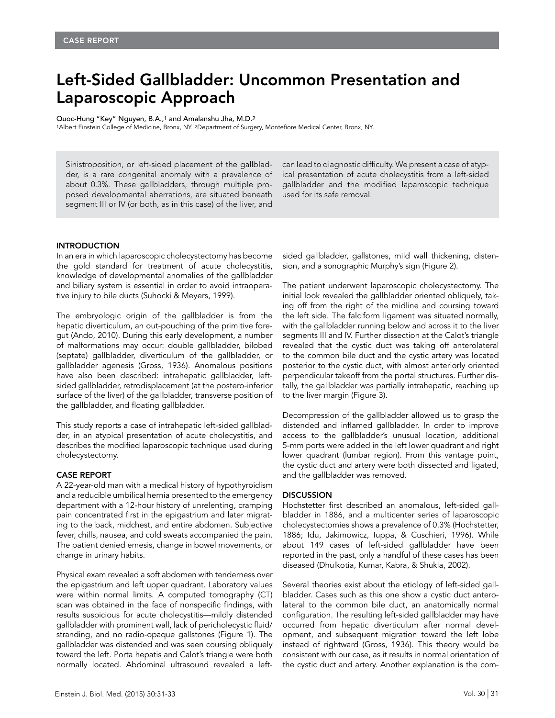# Left-Sided Gallbladder: Uncommon Presentation and Laparoscopic Approach

Quoc-Hung "Key" Nguyen, B.A.,1 and Amalanshu Jha, M.D.2

1Albert Einstein College of Medicine, Bronx, NY. 2Department of Surgery, Montefiore Medical Center, Bronx, NY.

Sinistroposition, or left-sided placement of the gallbladder, is a rare congenital anomaly with a prevalence of about 0.3%. These gallbladders, through multiple proposed developmental aberrations, are situated beneath segment III or IV (or both, as in this case) of the liver, and

can lead to diagnostic difficulty. We present a case of atypical presentation of acute cholecystitis from a left-sided gallbladder and the modified laparoscopic technique used for its safe removal.

### **INTRODUCTION**

In an era in which laparoscopic cholecystectomy has become the gold standard for treatment of acute cholecystitis, knowledge of developmental anomalies of the gallbladder and biliary system is essential in order to avoid intraoperative injury to bile ducts (Suhocki & Meyers, 1999).

The embryologic origin of the gallbladder is from the hepatic diverticulum, an out-pouching of the primitive foregut (Ando, 2010). During this early development, a number of malformations may occur: double gallbladder, bilobed (septate) gallbladder, diverticulum of the gallbladder, or gallbladder agenesis (Gross, 1936). Anomalous positions have also been described: intrahepatic gallbladder, leftsided gallbladder, retrodisplacement (at the postero-inferior surface of the liver) of the gallbladder, transverse position of the gallbladder, and floating gallbladder.

This study reports a case of intrahepatic left-sided gallbladder, in an atypical presentation of acute cholecystitis, and describes the modified laparoscopic technique used during cholecystectomy.

### CASE REPORT

A 22-year-old man with a medical history of hypothyroidism and a reducible umbilical hernia presented to the emergency department with a 12-hour history of unrelenting, cramping pain concentrated first in the epigastrium and later migrating to the back, midchest, and entire abdomen. Subjective fever, chills, nausea, and cold sweats accompanied the pain. The patient denied emesis, change in bowel movements, or change in urinary habits.

Physical exam revealed a soft abdomen with tenderness over the epigastrium and left upper quadrant. Laboratory values were within normal limits. A computed tomography (CT) scan was obtained in the face of nonspecific findings, with results suspicious for acute cholecystitis—mildly distended gallbladder with prominent wall, lack of pericholecystic fluid/ stranding, and no radio-opaque gallstones (Figure 1). The gallbladder was distended and was seen coursing obliquely toward the left. Porta hepatis and Calot's triangle were both normally located. Abdominal ultrasound revealed a left-

Vol. 30 | Einstein J. Biol. Med. (2015) 30:31-33 31

sided gallbladder, gallstones, mild wall thickening, distension, and a sonographic Murphy's sign (Figure 2).

The patient underwent laparoscopic cholecystectomy. The initial look revealed the gallbladder oriented obliquely, taking off from the right of the midline and coursing toward the left side. The falciform ligament was situated normally, with the gallbladder running below and across it to the liver segments III and IV. Further dissection at the Calot's triangle revealed that the cystic duct was taking off anterolateral to the common bile duct and the cystic artery was located posterior to the cystic duct, with almost anteriorly oriented perpendicular takeoff from the portal structures. Further distally, the gallbladder was partially intrahepatic, reaching up to the liver margin (Figure 3).

Decompression of the gallbladder allowed us to grasp the distended and inflamed gallbladder. In order to improve access to the gallbladder's unusual location, additional 5-mm ports were added in the left lower quadrant and right lower quadrant (lumbar region). From this vantage point, the cystic duct and artery were both dissected and ligated, and the gallbladder was removed.

## **DISCUSSION**

Hochstetter first described an anomalous, left-sided gallbladder in 1886, and a multicenter series of laparoscopic cholecystectomies shows a prevalence of 0.3% (Hochstetter, 1886; Idu, Jakimowicz, Iuppa, & Cuschieri, 1996). While about 149 cases of left-sided gallbladder have been reported in the past, only a handful of these cases has been diseased (Dhulkotia, Kumar, Kabra, & Shukla, 2002).

Several theories exist about the etiology of left-sided gallbladder. Cases such as this one show a cystic duct anterolateral to the common bile duct, an anatomically normal configuration. The resulting left-sided gallbladder may have occurred from hepatic diverticulum after normal development, and subsequent migration toward the left lobe instead of rightward (Gross, 1936). This theory would be consistent with our case, as it results in normal orientation of the cystic duct and artery. Another explanation is the com-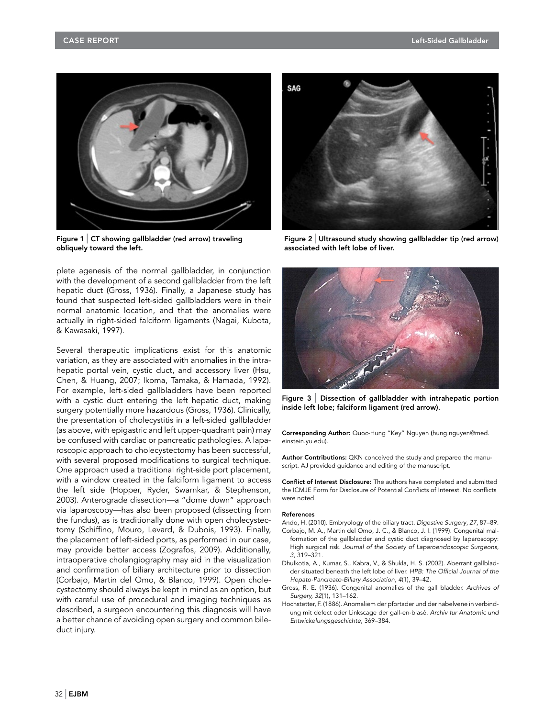

Figure 1  $\vert$  CT showing gallbladder (red arrow) traveling obliquely toward the left.

plete agenesis of the normal gallbladder, in conjunction with the development of a second gallbladder from the left hepatic duct (Gross, 1936). Finally, a Japanese study has found that suspected left-sided gallbladders were in their normal anatomic location, and that the anomalies were actually in right-sided falciform ligaments (Nagai, Kubota, & Kawasaki, 1997).

Several therapeutic implications exist for this anatomic variation, as they are associated with anomalies in the intrahepatic portal vein, cystic duct, and accessory liver (Hsu, Chen, & Huang, 2007; Ikoma, Tamaka, & Hamada, 1992). For example, left-sided gallbladders have been reported with a cystic duct entering the left hepatic duct, making surgery potentially more hazardous (Gross, 1936). Clinically, the presentation of cholecystitis in a left-sided gallbladder (as above, with epigastric and left upper-quadrant pain) may be confused with cardiac or pancreatic pathologies. A laparoscopic approach to cholecystectomy has been successful, with several proposed modifications to surgical technique. One approach used a traditional right-side port placement, with a window created in the falciform ligament to access the left side (Hopper, Ryder, Swarnkar, & Stephenson, 2003). Anterograde dissection—a "dome down" approach via laparoscopy—has also been proposed (dissecting from the fundus), as is traditionally done with open cholecystectomy (Schiffino, Mouro, Levard, & Dubois, 1993). Finally, the placement of left-sided ports, as performed in our case, may provide better access (Zografos, 2009). Additionally, intraoperative cholangiography may aid in the visualization and confirmation of biliary architecture prior to dissection (Corbajo, Martin del Omo, & Blanco, 1999). Open cholecystectomy should always be kept in mind as an option, but with careful use of procedural and imaging techniques as described, a surgeon encountering this diagnosis will have a better chance of avoiding open surgery and common bileduct injury.



Figure  $2$  Ultrasound study showing gallbladder tip (red arrow) associated with left lobe of liver.



Figure 3 | Dissection of gallbladder with intrahepatic portion inside left lobe; falciform ligament (red arrow).

Corresponding Author: Quoc-Hung "Key" Nguyen (hung.nguyen@med. einstein.yu.edu).

Author Contributions: QKN conceived the study and prepared the manuscript. AJ provided guidance and editing of the manuscript.

Conflict of Interest Disclosure: The authors have completed and submitted the ICMJE Form for Disclosure of Potential Conflicts of Interest. No conflicts were noted.

#### References

- Ando, H. (2010). Embryology of the biliary tract. Digestive Surgery, 27, 87–89. Corbajo, M. A., Martin del Omo, J. C., & Blanco, J. I. (1999). Congenital malformation of the gallbladder and cystic duct diagnosed by laparoscopy: High surgical risk. Journal of the Society of Laparoendoscopic Surgeons, 3, 319–321.
- Dhulkotia, A., Kumar, S., Kabra, V., & Shukla, H. S. (2002). Aberrant gallbladder situated beneath the left lobe of liver. HPB: The Official Journal of the Hepato-Pancreato-Biliary Association, 4(1), 39–42.
- Gross, R. E. (1936). Congenital anomalies of the gall bladder. Archives of Surgery, 32(1), 131–162.
- Hochstetter, F. (1886). Anomaliem der pfortader und der nabelvene in verbindung mit defect oder Linkscage der gall-en-blasé. Archiv fur Anatomic und Entwickelungsgeschichte, 369–384.